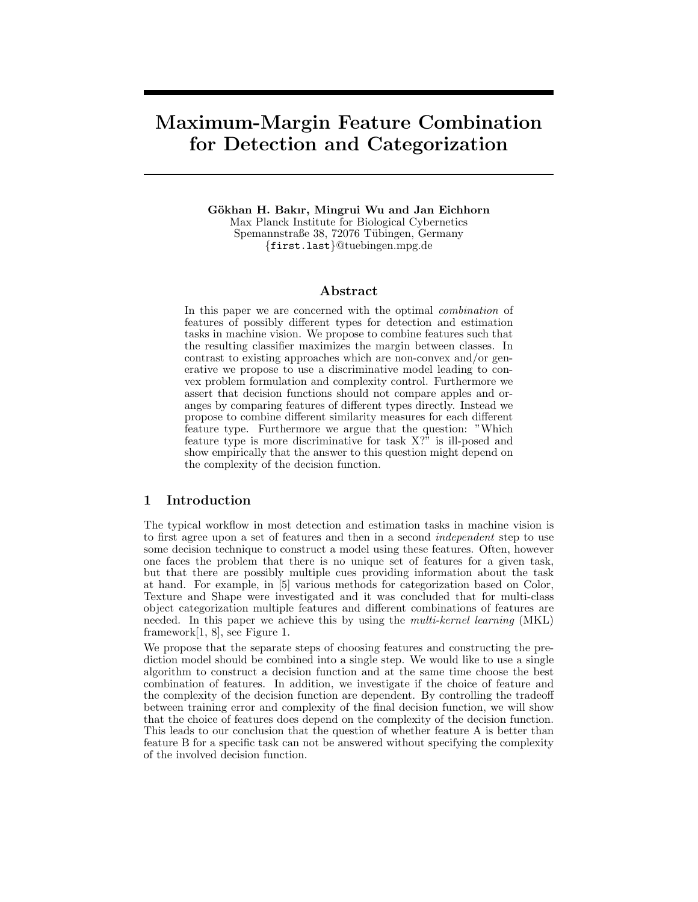# Maximum-Margin Feature Combination for Detection and Categorization

Gökhan H. Bakır, Mingrui Wu and Jan Eichhorn Max Planck Institute for Biological Cybernetics Spemannstraße 38, 72076 Tübingen, Germany {first.last}@tuebingen.mpg.de

# Abstract

In this paper we are concerned with the optimal *combination* of features of possibly different types for detection and estimation tasks in machine vision. We propose to combine features such that the resulting classifier maximizes the margin between classes. In contrast to existing approaches which are non-convex and/or generative we propose to use a discriminative model leading to convex problem formulation and complexity control. Furthermore we assert that decision functions should not compare apples and oranges by comparing features of different types directly. Instead we propose to combine different similarity measures for each different feature type. Furthermore we argue that the question: "Which feature type is more discriminative for task X?" is ill-posed and show empirically that the answer to this question might depend on the complexity of the decision function.

# 1 Introduction

The typical workflow in most detection and estimation tasks in machine vision is to first agree upon a set of features and then in a second independent step to use some decision technique to construct a model using these features. Often, however one faces the problem that there is no unique set of features for a given task, but that there are possibly multiple cues providing information about the task at hand. For example, in [5] various methods for categorization based on Color, Texture and Shape were investigated and it was concluded that for multi-class object categorization multiple features and different combinations of features are needed. In this paper we achieve this by using the multi-kernel learning (MKL) framework[1, 8], see Figure 1.

We propose that the separate steps of choosing features and constructing the prediction model should be combined into a single step. We would like to use a single algorithm to construct a decision function and at the same time choose the best combination of features. In addition, we investigate if the choice of feature and the complexity of the decision function are dependent. By controlling the tradeoff between training error and complexity of the final decision function, we will show that the choice of features does depend on the complexity of the decision function. This leads to our conclusion that the question of whether feature A is better than feature B for a specific task can not be answered without specifying the complexity of the involved decision function.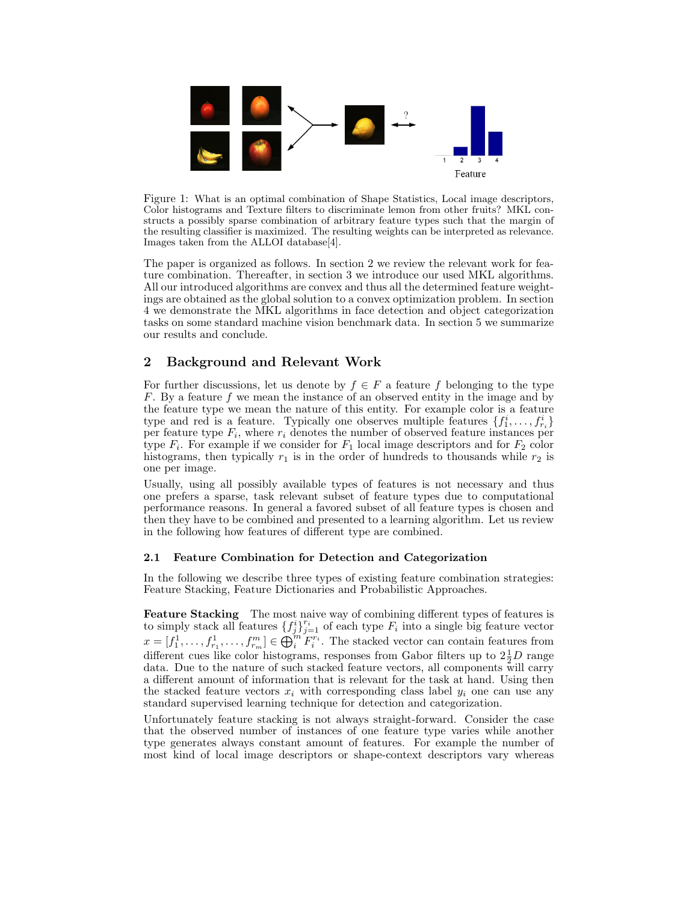

Figure 1: What is an optimal combination of Shape Statistics, Local image descriptors, Color histograms and Texture filters to discriminate lemon from other fruits? MKL constructs a possibly sparse combination of arbitrary feature types such that the margin of the resulting classifier is maximized. The resulting weights can be interpreted as relevance. Images taken from the ALLOI database[4].

The paper is organized as follows. In section 2 we review the relevant work for feature combination. Thereafter, in section 3 we introduce our used MKL algorithms. All our introduced algorithms are convex and thus all the determined feature weightings are obtained as the global solution to a convex optimization problem. In section 4 we demonstrate the MKL algorithms in face detection and object categorization tasks on some standard machine vision benchmark data. In section 5 we summarize our results and conclude.

# 2 Background and Relevant Work

For further discussions, let us denote by  $f \in F$  a feature f belonging to the type F. By a feature f we mean the instance of an observed entity in the image and by the feature type we mean the nature of this entity. For example color is a feature type and red is a feature. Typically one observes multiple features  $\{f_1^i, \ldots, f_{r_i}^i\}$ per feature type  $F_i$ , where  $r_i$  denotes the number of observed feature instances per type  $F_i$ . For example if we consider for  $F_1$  local image descriptors and for  $F_2$  color histograms, then typically  $r_1$  is in the order of hundreds to thousands while  $r_2$  is one per image.

Usually, using all possibly available types of features is not necessary and thus one prefers a sparse, task relevant subset of feature types due to computational performance reasons. In general a favored subset of all feature types is chosen and then they have to be combined and presented to a learning algorithm. Let us review in the following how features of different type are combined.

# 2.1 Feature Combination for Detection and Categorization

In the following we describe three types of existing feature combination strategies: Feature Stacking, Feature Dictionaries and Probabilistic Approaches.

Feature Stacking The most naive way of combining different types of features is to simply stack all features  $\{f_j^i\}_{j=1}^{r_i}$  of each type  $F_i$  into a single big feature vector  $x=[f_1^1,\ldots,f_{r_1}^1,\ldots,f_{r_m}^m]\in \bigoplus_{i=1}^m F_i^{r_i}$ . The stacked vector can contain features from different cues like color histograms, responses from Gabor filters up to  $2\frac{1}{2}D$  range data. Due to the nature of such stacked feature vectors, all components will carry a different amount of information that is relevant for the task at hand. Using then the stacked feature vectors  $x_i$  with corresponding class label  $y_i$  one can use any standard supervised learning technique for detection and categorization.

Unfortunately feature stacking is not always straight-forward. Consider the case that the observed number of instances of one feature type varies while another type generates always constant amount of features. For example the number of most kind of local image descriptors or shape-context descriptors vary whereas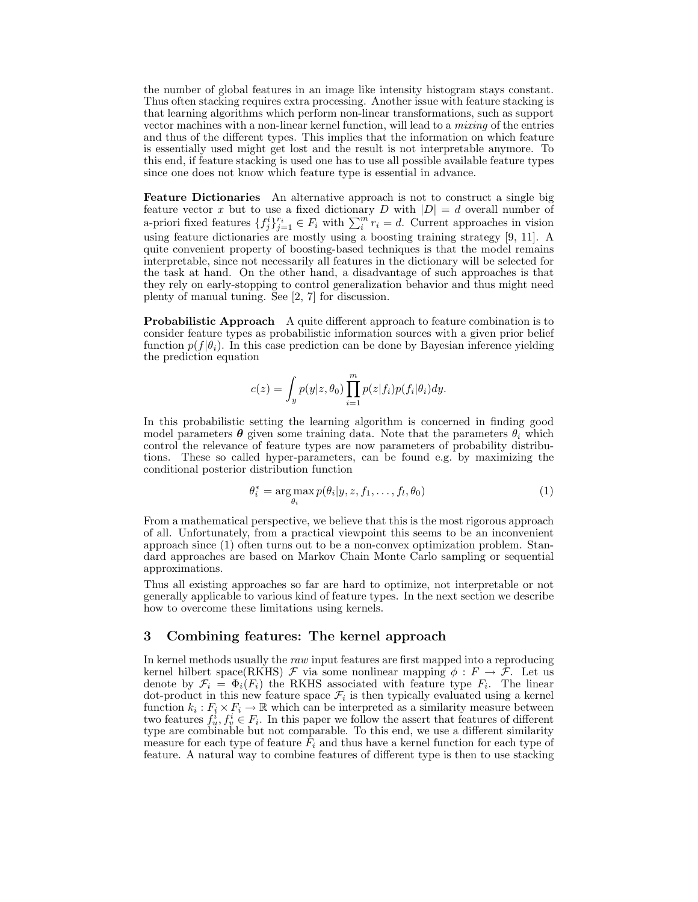the number of global features in an image like intensity histogram stays constant. Thus often stacking requires extra processing. Another issue with feature stacking is that learning algorithms which perform non-linear transformations, such as support vector machines with a non-linear kernel function, will lead to a *mixing* of the entries and thus of the different types. This implies that the information on which feature is essentially used might get lost and the result is not interpretable anymore. To this end, if feature stacking is used one has to use all possible available feature types since one does not know which feature type is essential in advance.

Feature Dictionaries An alternative approach is not to construct a single big feature vector x but to use a fixed dictionary D with  $|D| = d$  overall number of a-priori fixed features  $\{f_j^i\}_{j=1}^r \in F_i$  with  $\sum_i^{m} r_i = d$ . Current approaches in vision using feature dictionaries are mostly using a boosting training strategy [9, 11]. A quite convenient property of boosting-based techniques is that the model remains interpretable, since not necessarily all features in the dictionary will be selected for the task at hand. On the other hand, a disadvantage of such approaches is that they rely on early-stopping to control generalization behavior and thus might need plenty of manual tuning. See [2, 7] for discussion.

Probabilistic Approach A quite different approach to feature combination is to consider feature types as probabilistic information sources with a given prior belief function  $p(f|\theta_i)$ . In this case prediction can be done by Bayesian inference yielding the prediction equation

$$
c(z) = \int_{y} p(y|z, \theta_0) \prod_{i=1}^{m} p(z|f_i) p(f_i|\theta_i) dy.
$$

In this probabilistic setting the learning algorithm is concerned in finding good model parameters  $\boldsymbol{\theta}$  given some training data. Note that the parameters  $\theta_i$  which control the relevance of feature types are now parameters of probability distributions. These so called hyper-parameters, can be found e.g. by maximizing the conditional posterior distribution function

$$
\theta_i^* = \underset{\theta_i}{\arg \max} \ p(\theta_i | y, z, f_1, \dots, f_l, \theta_0) \tag{1}
$$

From a mathematical perspective, we believe that this is the most rigorous approach of all. Unfortunately, from a practical viewpoint this seems to be an inconvenient approach since (1) often turns out to be a non-convex optimization problem. Standard approaches are based on Markov Chain Monte Carlo sampling or sequential approximations.

Thus all existing approaches so far are hard to optimize, not interpretable or not generally applicable to various kind of feature types. In the next section we describe how to overcome these limitations using kernels.

# 3 Combining features: The kernel approach

In kernel methods usually the raw input features are first mapped into a reproducing kernel hilbert space(RKHS)  $\mathcal F$  via some nonlinear mapping  $\phi : F \to \mathcal F$ . Let us denote by  $\mathcal{F}_i = \Phi_i(F_i)$  the RKHS associated with feature type  $F_i$ . The linear dot-product in this new feature space  $\mathcal{F}_i$  is then typically evaluated using a kernel function  $k_i : F_i \times F_i \to \mathbb{R}$  which can be interpreted as a similarity measure between two features  $f_u^i, f_v^i \in F_i$ . In this paper we follow the assert that features of different type are combinable but not comparable. To this end, we use a different similarity measure for each type of feature  $F_i$  and thus have a kernel function for each type of feature. A natural way to combine features of different type is then to use stacking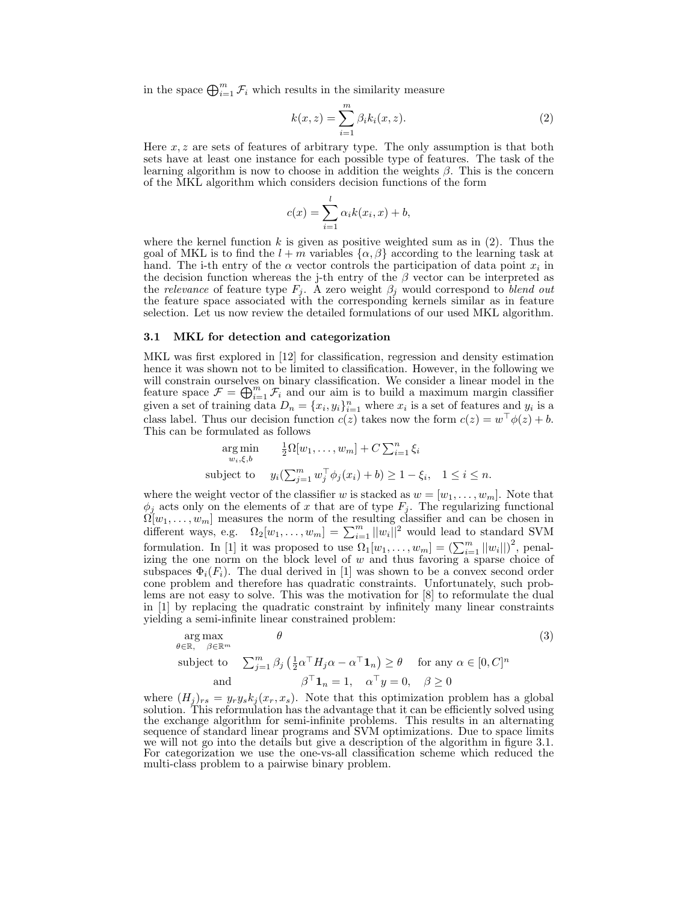in the space  $\bigoplus_{i=1}^m \mathcal{F}_i$  which results in the similarity measure

$$
k(x,z) = \sum_{i=1}^{m} \beta_i k_i(x,z). \tag{2}
$$

Here  $x, z$  are sets of features of arbitrary type. The only assumption is that both sets have at least one instance for each possible type of features. The task of the learning algorithm is now to choose in addition the weights  $\beta$ . This is the concern of the MKL algorithm which considers decision functions of the form

$$
c(x) = \sum_{i=1}^{l} \alpha_i k(x_i, x) + b,
$$

where the kernel function k is given as positive weighted sum as in  $(2)$ . Thus the goal of MKL is to find the  $l + m$  variables  $\{\alpha, \beta\}$  according to the learning task at hand. The i-th entry of the  $\alpha$  vector controls the participation of data point  $x_i$  in the decision function whereas the j-th entry of the  $\beta$  vector can be interpreted as the relevance of feature type  $F_j$ . A zero weight  $\beta_j$  would correspond to blend out the feature space associated with the corresponding kernels similar as in feature selection. Let us now review the detailed formulations of our used MKL algorithm.

#### 3.1 MKL for detection and categorization

MKL was first explored in [12] for classification, regression and density estimation hence it was shown not to be limited to classification. However, in the following we will constrain ourselves on binary classification. We consider a linear model in the feature space  $\mathcal{F} = \bigoplus_{i=1}^m \mathcal{F}_i$  and our aim is to build a maximum margin classifier given a set of training data  $D_n = \{x_i, y_i\}_{i=1}^n$  where  $x_i$  is a set of features and  $y_i$  is a class label. Thus our decision function  $c(z)$  takes now the form  $c(z) = w^{\top} \phi(z) + b$ . This can be formulated as follows

$$
\argmin_{w_i,\xi,b} \quad \frac{1}{2}\Omega[w_1,\ldots,w_m] + C\sum_{i=1}^n \xi_i
$$
\n
$$
\text{subject to} \quad y_i(\sum_{j=1}^m w_j^\top \phi_j(x_i) + b) \ge 1 - \xi_i, \quad 1 \le i \le n.
$$

where the weight vector of the classifier w is stacked as  $w = [w_1, \ldots, w_m]$ . Note that  $\phi_j$  acts only on the elements of x that are of type  $F_j$ . The regularizing functional  $\Omega[w_1,\ldots,w_m]$  measures the norm of the resulting classifier and can be chosen in different ways, e.g.  $\Omega_2[w_1,\ldots,w_m] = \sum_{i=1}^m ||w_i||^2$  would lead to standard SVM formulation. In [1] it was proposed to use  $\Omega_1[w_1,\ldots,w_m] = \left(\sum_{i=1}^m ||w_i||\right)^2$ , penalizing the one norm on the block level of  $w$  and thus favoring a sparse choice of subspaces  $\Phi_i(F_i)$ . The dual derived in [1] was shown to be a convex second order cone problem and therefore has quadratic constraints. Unfortunately, such problems are not easy to solve. This was the motivation for [8] to reformulate the dual in [1] by replacing the quadratic constraint by infinitely many linear constraints yielding a semi-infinite linear constrained problem:

$$
\arg \max_{\theta \in \mathbb{R}, \beta \in \mathbb{R}^m} \theta
$$
\n
$$
\text{subject to} \quad \sum_{j=1}^m \beta_j \left( \frac{1}{2} \alpha^\top H_j \alpha - \alpha^\top \mathbf{1}_n \right) \ge \theta \quad \text{for any } \alpha \in [0, C]^n
$$
\n
$$
\beta^\top \mathbf{1}_n = 1, \quad \alpha^\top y = 0, \quad \beta \ge 0
$$
\n
$$
(3)
$$

where  $(H_j)_{rs} = y_r y_s k_j(x_r, x_s)$ . Note that this optimization problem has a global solution. This reformulation has the advantage that it can be efficiently solved using the exchange algorithm for semi-infinite problems. This results in an alternating sequence of standard linear programs and SVM optimizations. Due to space limits we will not go into the details but give a description of the algorithm in figure 3.1. For categorization we use the one-vs-all classification scheme which reduced the multi-class problem to a pairwise binary problem.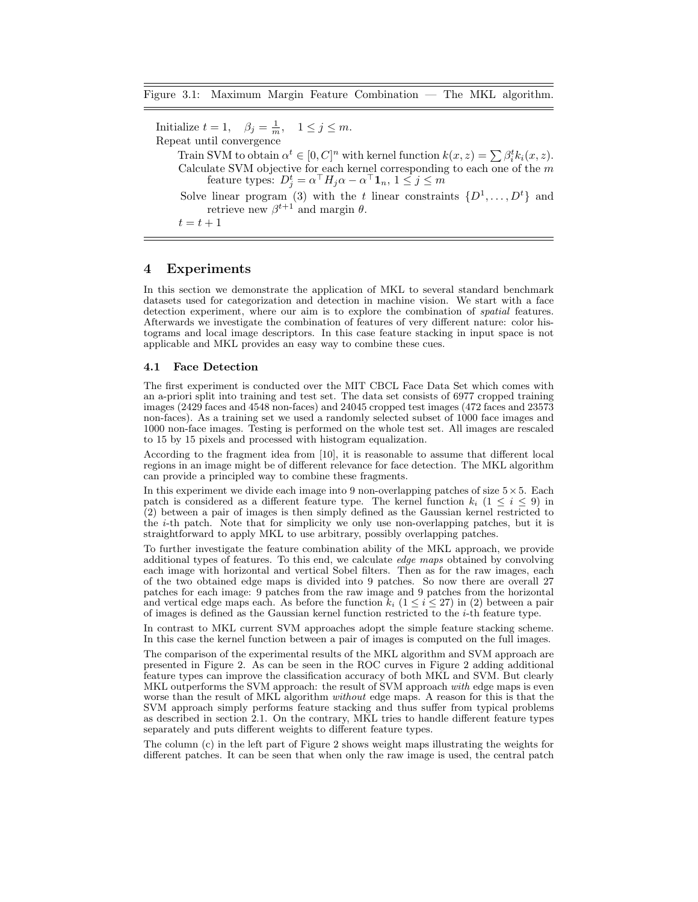Initialize  $t = 1$ ,  $\beta_j = \frac{1}{m}$ ,  $1 \le j \le m$ . Repeat until convergence Train SVM to obtain  $\alpha^t \in [0, C]^n$  with kernel function  $k(x, z) = \sum \beta_i^t k_i(x, z)$ . Calculate SVM objective for each kernel corresponding to each one of the  $m$ feature types:  $D_j^t = \alpha^\top H_j \alpha - \alpha^\top \mathbf{1}_n, \, 1 \leq j \leq m$ Solve linear program (3) with the t linear constraints  $\{D^1, \ldots, D^t\}$  and retrieve new  $\beta^{t+1}$  and margin  $\theta$ .  $t = t + 1$ 

# 4 Experiments

In this section we demonstrate the application of MKL to several standard benchmark datasets used for categorization and detection in machine vision. We start with a face detection experiment, where our aim is to explore the combination of spatial features. Afterwards we investigate the combination of features of very different nature: color histograms and local image descriptors. In this case feature stacking in input space is not applicable and MKL provides an easy way to combine these cues.

#### 4.1 Face Detection

The first experiment is conducted over the MIT CBCL Face Data Set which comes with an a-priori split into training and test set. The data set consists of 6977 cropped training images (2429 faces and 4548 non-faces) and 24045 cropped test images (472 faces and 23573 non-faces). As a training set we used a randomly selected subset of 1000 face images and 1000 non-face images. Testing is performed on the whole test set. All images are rescaled to 15 by 15 pixels and processed with histogram equalization.

According to the fragment idea from [10], it is reasonable to assume that different local regions in an image might be of different relevance for face detection. The MKL algorithm can provide a principled way to combine these fragments.

In this experiment we divide each image into 9 non-overlapping patches of size  $5 \times 5$ . Each patch is considered as a different feature type. The kernel function  $k_i$  ( $1 \leq i \leq 9$ ) in (2) between a pair of images is then simply defined as the Gaussian kernel restricted to the i-th patch. Note that for simplicity we only use non-overlapping patches, but it is straightforward to apply MKL to use arbitrary, possibly overlapping patches.

To further investigate the feature combination ability of the MKL approach, we provide additional types of features. To this end, we calculate *edge maps* obtained by convolving each image with horizontal and vertical Sobel filters. Then as for the raw images, each of the two obtained edge maps is divided into 9 patches. So now there are overall 27 patches for each image: 9 patches from the raw image and 9 patches from the horizontal and vertical edge maps each. As before the function  $k_i$  ( $1 \le i \le 27$ ) in (2) between a pair of images is defined as the Gaussian kernel function restricted to the  $i$ -th feature type.

In contrast to MKL current SVM approaches adopt the simple feature stacking scheme. In this case the kernel function between a pair of images is computed on the full images.

The comparison of the experimental results of the MKL algorithm and SVM approach are presented in Figure 2. As can be seen in the ROC curves in Figure 2 adding additional feature types can improve the classification accuracy of both MKL and SVM. But clearly MKL outperforms the SVM approach: the result of SVM approach with edge maps is even worse than the result of MKL algorithm *without* edge maps. A reason for this is that the SVM approach simply performs feature stacking and thus suffer from typical problems as described in section 2.1. On the contrary, MKL tries to handle different feature types separately and puts different weights to different feature types.

The column (c) in the left part of Figure 2 shows weight maps illustrating the weights for different patches. It can be seen that when only the raw image is used, the central patch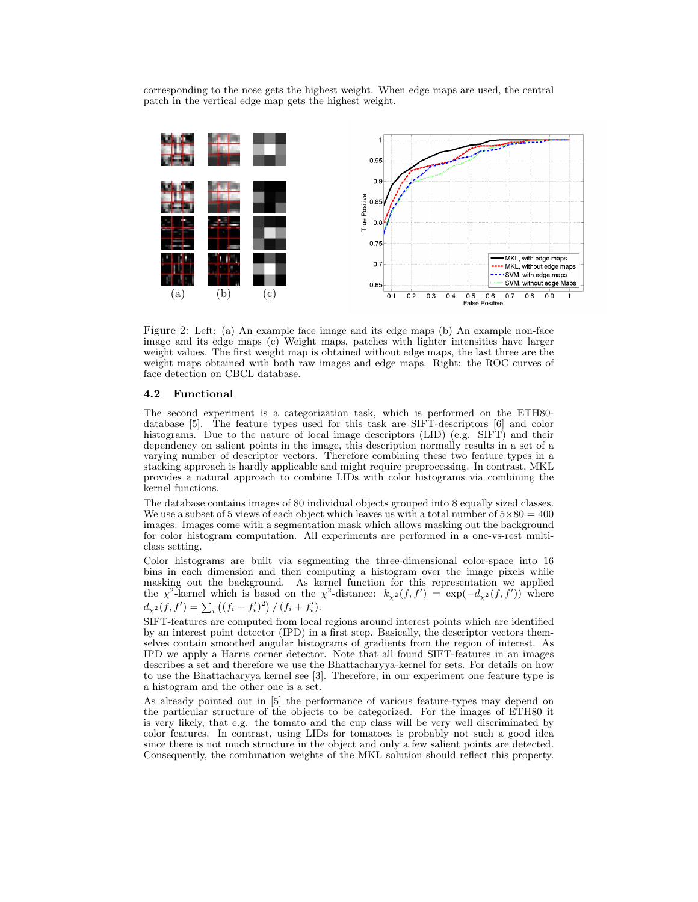corresponding to the nose gets the highest weight. When edge maps are used, the central patch in the vertical edge map gets the highest weight.



Figure 2: Left: (a) An example face image and its edge maps (b) An example non-face image and its edge maps (c) Weight maps, patches with lighter intensities have larger weight values. The first weight map is obtained without edge maps, the last three are the weight maps obtained with both raw images and edge maps. Right: the ROC curves of face detection on CBCL database.

### 4.2 Functional

The second experiment is a categorization task, which is performed on the ETH80 database [5]. The feature types used for this task are SIFT-descriptors [6] and color histograms. Due to the nature of local image descriptors (LID) (e.g. SIFT) and their dependency on salient points in the image, this description normally results in a set of a varying number of descriptor vectors. Therefore combining these two feature types in a stacking approach is hardly applicable and might require preprocessing. In contrast, MKL provides a natural approach to combine LIDs with color histograms via combining the kernel functions.

The database contains images of 80 individual objects grouped into 8 equally sized classes. We use a subset of 5 views of each object which leaves us with a total number of  $5\times80 = 400$ images. Images come with a segmentation mask which allows masking out the background for color histogram computation. All experiments are performed in a one-vs-rest multiclass setting.

Color histograms are built via segmenting the three-dimensional color-space into 16 bins in each dimension and then computing a histogram over the image pixels while masking out the background. As kernel function for this representation we applied the  $\chi^2$ -kernel which is based on the  $\chi^2$ -distance:  $k_{\chi^2}(f, f') = \exp(-d_{\chi^2}(f, f'))$  where  $d_{\chi^2}(f, f') = \sum_i ((f_i - f'_i)^2) / (f_i + f'_i).$ 

SIFT-features are computed from local regions around interest points which are identified by an interest point detector (IPD) in a first step. Basically, the descriptor vectors themselves contain smoothed angular histograms of gradients from the region of interest. As IPD we apply a Harris corner detector. Note that all found SIFT-features in an images describes a set and therefore we use the Bhattacharyya-kernel for sets. For details on how to use the Bhattacharyya kernel see [3]. Therefore, in our experiment one feature type is a histogram and the other one is a set.

As already pointed out in [5] the performance of various feature-types may depend on the particular structure of the objects to be categorized. For the images of ETH80 it is very likely, that e.g. the tomato and the cup class will be very well discriminated by color features. In contrast, using LIDs for tomatoes is probably not such a good idea since there is not much structure in the object and only a few salient points are detected. Consequently, the combination weights of the MKL solution should reflect this property.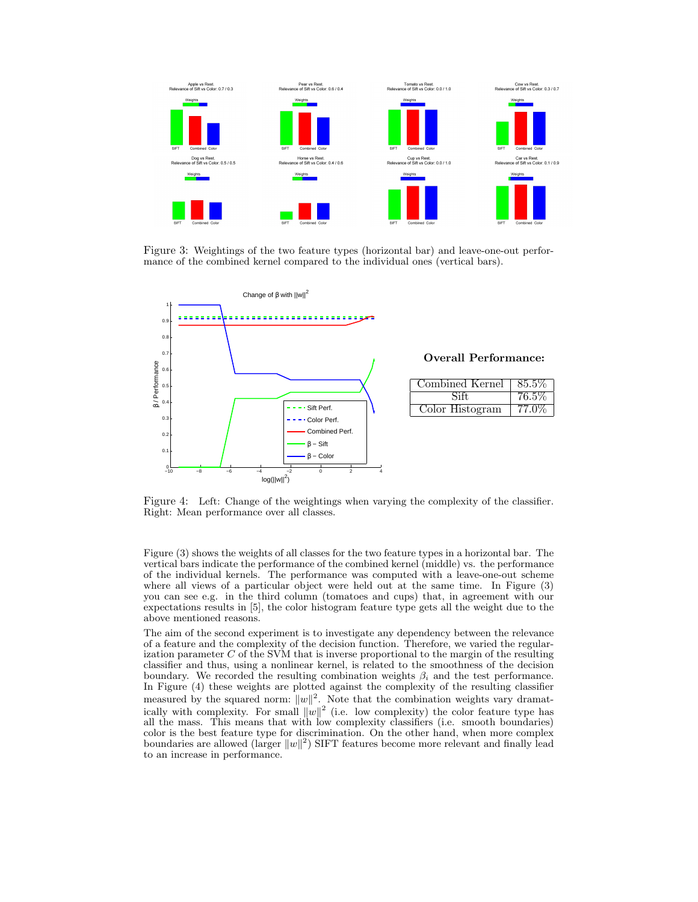

Figure 3: Weightings of the two feature types (horizontal bar) and leave-one-out performance of the combined kernel compared to the individual ones (vertical bars).



Figure 4: Left: Change of the weightings when varying the complexity of the classifier. Right: Mean performance over all classes.

Figure (3) shows the weights of all classes for the two feature types in a horizontal bar. The vertical bars indicate the performance of the combined kernel (middle) vs. the performance of the individual kernels. The performance was computed with a leave-one-out scheme where all views of a particular object were held out at the same time. In Figure (3) you can see e.g. in the third column (tomatoes and cups) that, in agreement with our expectations results in [5], the color histogram feature type gets all the weight due to the above mentioned reasons.

The aim of the second experiment is to investigate any dependency between the relevance of a feature and the complexity of the decision function. Therefore, we varied the regularization parameter  $C$  of the SVM that is inverse proportional to the margin of the resulting classifier and thus, using a nonlinear kernel, is related to the smoothness of the decision boundary. We recorded the resulting combination weights  $\beta_i$  and the test performance. In Figure (4) these weights are plotted against the complexity of the resulting classifier measured by the squared norm:  $||w||^2$ . Note that the combination weights vary dramatically with complexity. For small  $||w||^2$  (i.e. low complexity) the color feature type has all the mass. This means that with low complexity classifiers (i.e. smooth boundaries) color is the best feature type for discrimination. On the other hand, when more complex boundaries are allowed (larger  $||w||^2$ ) SIFT features become more relevant and finally lead to an increase in performance.